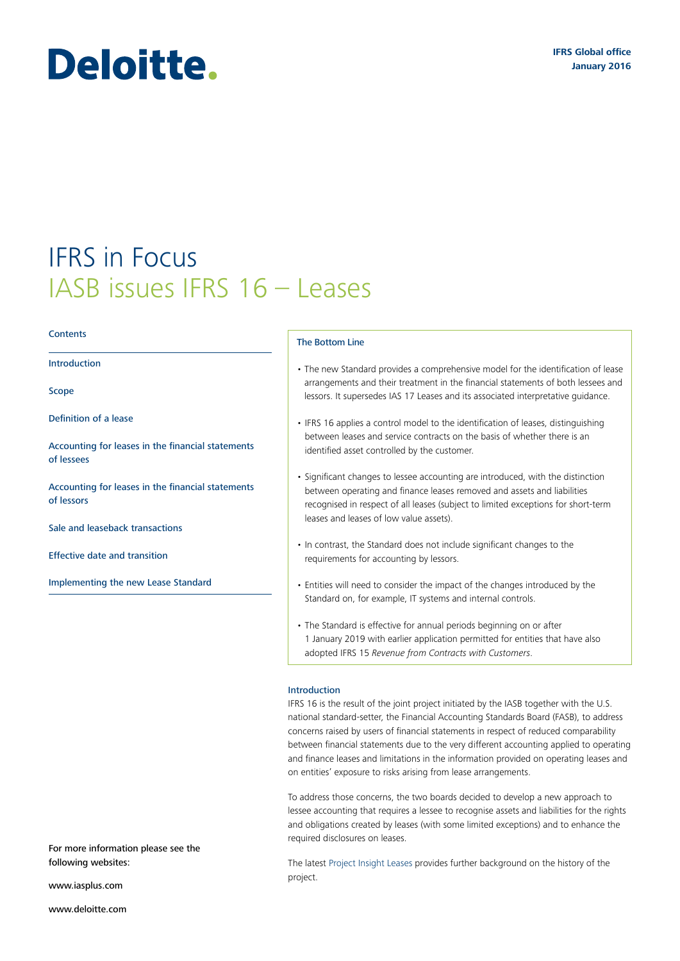# Deloitte.

# IFRS in Focus IASB issues IFRS 16 – Leases

#### **Contents**

[Introduction](#page-0-0)

[Scope](#page-1-0)

Definition of a lease

[Accounting for leases in the financial statements](#page-5-0)  [of lessees](#page-5-0)

[Accounting for leases in the financial statements](#page-8-0)  [of lessors](#page-8-0)

[Sale and leaseback transactions](#page-9-0)

[Effective date and transition](#page-10-0)

[Implementing the new Lease Standard](#page-10-1)

#### The Bottom Line

- The new Standard provides a comprehensive model for the identification of lease arrangements and their treatment in the financial statements of both lessees and lessors. It supersedes IAS 17 Leases and its associated interpretative guidance.
- IFRS 16 applies a control model to the identification of leases, distinguishing between leases and service contracts on the basis of whether there is an identified asset controlled by the customer.
- Significant changes to lessee accounting are introduced, with the distinction between operating and finance leases removed and assets and liabilities recognised in respect of all leases (subject to limited exceptions for short-term leases and leases of low value assets).
- In contrast, the Standard does not include significant changes to the requirements for accounting by lessors.
- Entities will need to consider the impact of the changes introduced by the Standard on, for example, IT systems and internal controls.
- The Standard is effective for annual periods beginning on or after 1 January 2019 with earlier application permitted for entities that have also adopted IFRS 15 *Revenue from Contracts with Customers*.

#### <span id="page-0-0"></span>Introduction

IFRS 16 is the result of the joint project initiated by the IASB together with the U.S. national standard-setter, the Financial Accounting Standards Board (FASB), to address concerns raised by users of financial statements in respect of reduced comparability between financial statements due to the very different accounting applied to operating and finance leases and limitations in the information provided on operating leases and on entities' exposure to risks arising from lease arrangements.

To address those concerns, the two boards decided to develop a new approach to lessee accounting that requires a lessee to recognise assets and liabilities for the rights and obligations created by leases (with some limited exceptions) and to enhance the required disclosures on leases.

The latest [Project Insight Leases](http://www.iasplus.com/en/publications/global/project-insights/leases) provides further background on the history of the project.

For more information please see the following websites:

<www.iasplus.com>

<www.deloitte.com>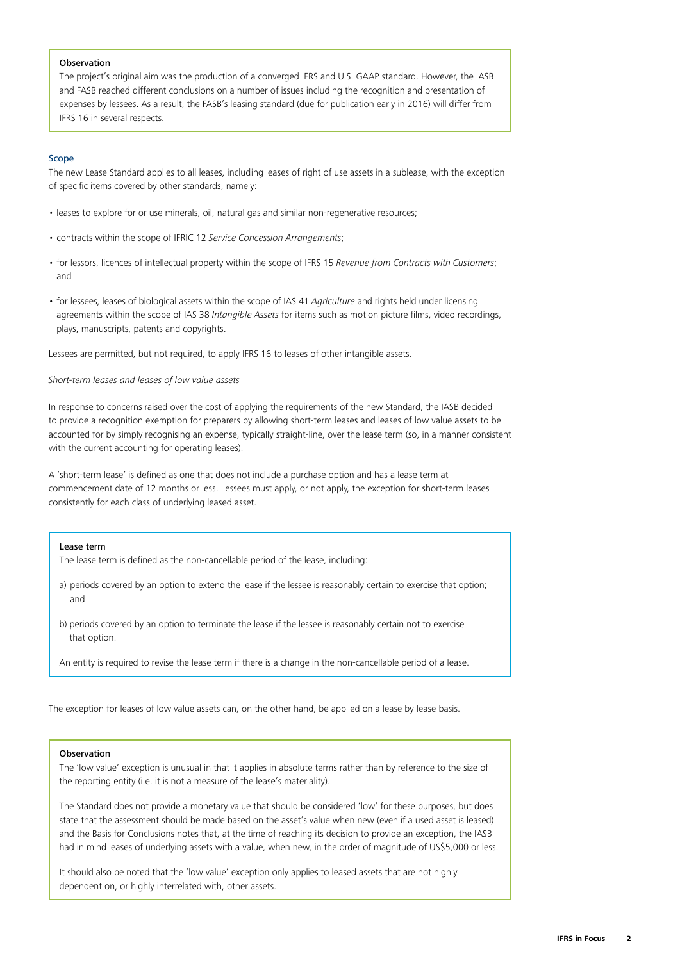#### **Observation**

The project's original aim was the production of a converged IFRS and U.S. GAAP standard. However, the IASB and FASB reached different conclusions on a number of issues including the recognition and presentation of expenses by lessees. As a result, the FASB's leasing standard (due for publication early in 2016) will differ from IFRS 16 in several respects.

# <span id="page-1-0"></span>Scope

The new Lease Standard applies to all leases, including leases of right of use assets in a sublease, with the exception of specific items covered by other standards, namely:

- leases to explore for or use minerals, oil, natural gas and similar non-regenerative resources;
- contracts within the scope of IFRIC 12 *Service Concession Arrangements*;
- for lessors, licences of intellectual property within the scope of IFRS 15 *Revenue from Contracts with Customers*; and
- for lessees, leases of biological assets within the scope of IAS 41 *Agriculture* and rights held under licensing agreements within the scope of IAS 38 *Intangible Assets* for items such as motion picture films, video recordings, plays, manuscripts, patents and copyrights.

Lessees are permitted, but not required, to apply IFRS 16 to leases of other intangible assets.

# *Short-term leases and leases of low value assets*

In response to concerns raised over the cost of applying the requirements of the new Standard, the IASB decided to provide a recognition exemption for preparers by allowing short-term leases and leases of low value assets to be accounted for by simply recognising an expense, typically straight-line, over the lease term (so, in a manner consistent with the current accounting for operating leases).

A 'short-term lease' is defined as one that does not include a purchase option and has a lease term at commencement date of 12 months or less. Lessees must apply, or not apply, the exception for short-term leases consistently for each class of underlying leased asset.

#### Lease term

The lease term is defined as the non-cancellable period of the lease, including:

- a) periods covered by an option to extend the lease if the lessee is reasonably certain to exercise that option; and
- b) periods covered by an option to terminate the lease if the lessee is reasonably certain not to exercise that option.

An entity is required to revise the lease term if there is a change in the non-cancellable period of a lease.

The exception for leases of low value assets can, on the other hand, be applied on a lease by lease basis.

#### Observation

The 'low value' exception is unusual in that it applies in absolute terms rather than by reference to the size of the reporting entity (i.e. it is not a measure of the lease's materiality).

The Standard does not provide a monetary value that should be considered 'low' for these purposes, but does state that the assessment should be made based on the asset's value when new (even if a used asset is leased) and the Basis for Conclusions notes that, at the time of reaching its decision to provide an exception, the IASB had in mind leases of underlying assets with a value, when new, in the order of magnitude of US\$5,000 or less.

It should also be noted that the 'low value' exception only applies to leased assets that are not highly dependent on, or highly interrelated with, other assets.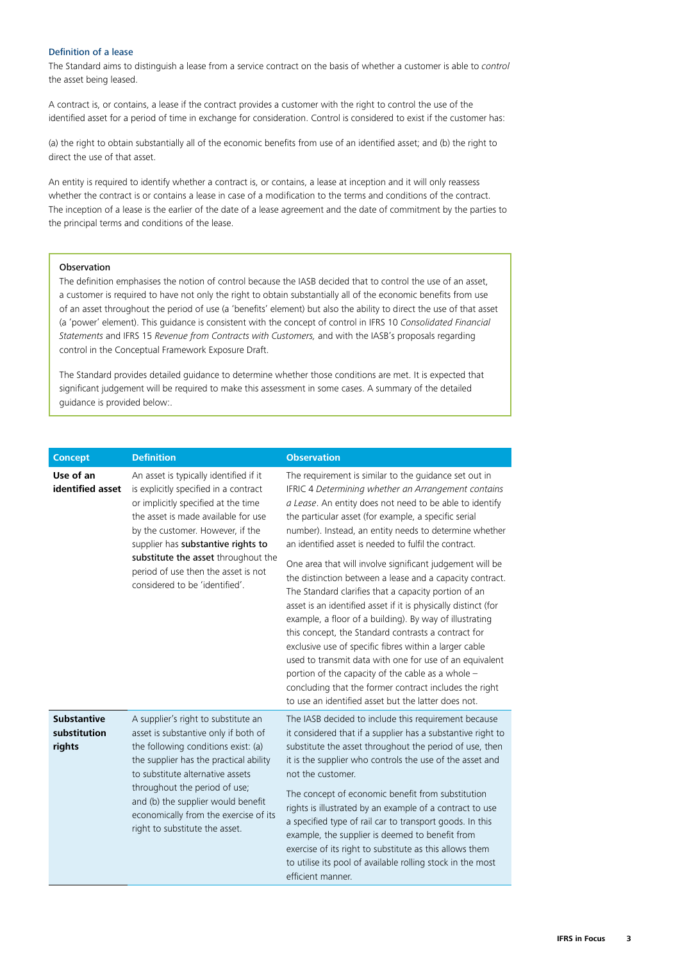### Definition of a lease

The Standard aims to distinguish a lease from a service contract on the basis of whether a customer is able to *control* the asset being leased.

A contract is, or contains, a lease if the contract provides a customer with the right to control the use of the identified asset for a period of time in exchange for consideration. Control is considered to exist if the customer has:

(a) the right to obtain substantially all of the economic benefits from use of an identified asset; and (b) the right to direct the use of that asset.

An entity is required to identify whether a contract is, or contains, a lease at inception and it will only reassess whether the contract is or contains a lease in case of a modification to the terms and conditions of the contract. The inception of a lease is the earlier of the date of a lease agreement and the date of commitment by the parties to the principal terms and conditions of the lease.

# Observation

The definition emphasises the notion of control because the IASB decided that to control the use of an asset, a customer is required to have not only the right to obtain substantially all of the economic benefits from use of an asset throughout the period of use (a 'benefits' element) but also the ability to direct the use of that asset (a 'power' element). This guidance is consistent with the concept of control in IFRS 10 *Consolidated Financial Statements* and IFRS 15 *Revenue from Contracts with Customers,* and with the IASB's proposals regarding control in the Conceptual Framework Exposure Draft.

The Standard provides detailed guidance to determine whether those conditions are met. It is expected that significant judgement will be required to make this assessment in some cases. A summary of the detailed guidance is provided below:.

| <b>Concept</b>                               | <b>Definition</b>                                                                                                                                                                                                                                                                                                                                       | <b>Observation</b>                                                                                                                                                                                                                                                                                                                                                                                                                                                                                                                                                                                                                                                                                                                                                                                                                                                                                                                                         |
|----------------------------------------------|---------------------------------------------------------------------------------------------------------------------------------------------------------------------------------------------------------------------------------------------------------------------------------------------------------------------------------------------------------|------------------------------------------------------------------------------------------------------------------------------------------------------------------------------------------------------------------------------------------------------------------------------------------------------------------------------------------------------------------------------------------------------------------------------------------------------------------------------------------------------------------------------------------------------------------------------------------------------------------------------------------------------------------------------------------------------------------------------------------------------------------------------------------------------------------------------------------------------------------------------------------------------------------------------------------------------------|
| Use of an<br>identified asset                | An asset is typically identified if it<br>is explicitly specified in a contract<br>or implicitly specified at the time<br>the asset is made available for use<br>by the customer. However, if the<br>supplier has substantive rights to<br>substitute the asset throughout the<br>period of use then the asset is not<br>considered to be 'identified'. | The requirement is similar to the guidance set out in<br>IFRIC 4 Determining whether an Arrangement contains<br>a Lease. An entity does not need to be able to identify<br>the particular asset (for example, a specific serial<br>number). Instead, an entity needs to determine whether<br>an identified asset is needed to fulfil the contract.<br>One area that will involve significant judgement will be<br>the distinction between a lease and a capacity contract.<br>The Standard clarifies that a capacity portion of an<br>asset is an identified asset if it is physically distinct (for<br>example, a floor of a building). By way of illustrating<br>this concept, the Standard contrasts a contract for<br>exclusive use of specific fibres within a larger cable<br>used to transmit data with one for use of an equivalent<br>portion of the capacity of the cable as a whole -<br>concluding that the former contract includes the right |
| <b>Substantive</b><br>substitution<br>rights | A supplier's right to substitute an<br>asset is substantive only if both of<br>the following conditions exist: (a)<br>the supplier has the practical ability<br>to substitute alternative assets<br>throughout the period of use;<br>and (b) the supplier would benefit<br>economically from the exercise of its<br>right to substitute the asset.      | to use an identified asset but the latter does not.<br>The IASB decided to include this requirement because<br>it considered that if a supplier has a substantive right to<br>substitute the asset throughout the period of use, then<br>it is the supplier who controls the use of the asset and<br>not the customer.<br>The concept of economic benefit from substitution<br>rights is illustrated by an example of a contract to use<br>a specified type of rail car to transport goods. In this<br>example, the supplier is deemed to benefit from<br>exercise of its right to substitute as this allows them<br>to utilise its pool of available rolling stock in the most<br>efficient manner.                                                                                                                                                                                                                                                       |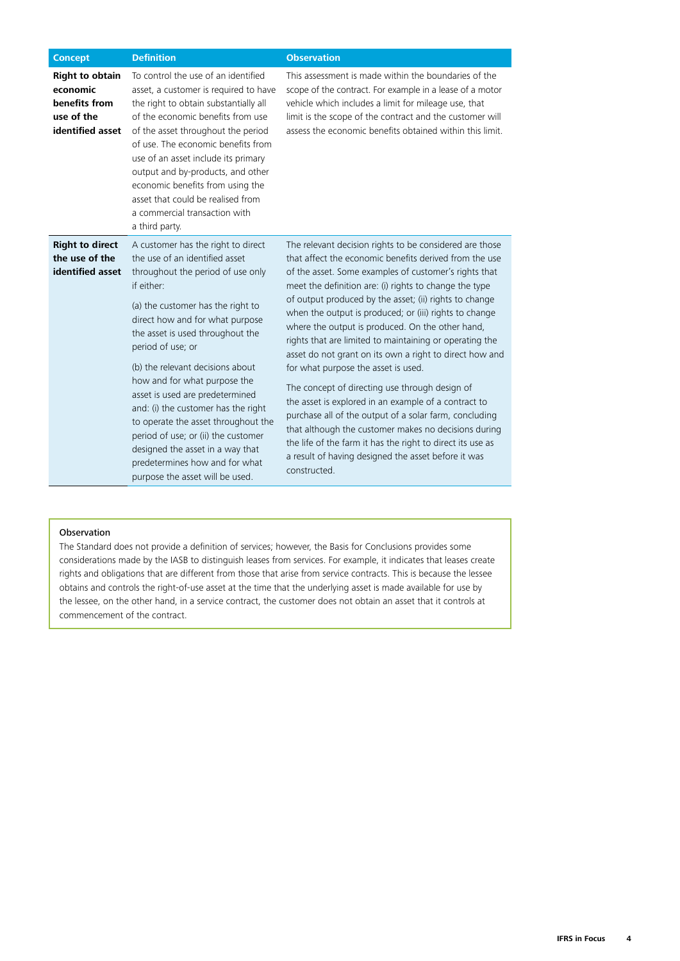| <b>Concept</b>                                                                        | <b>Definition</b>                                                                                                                                                                                                                                                                                                                                                                                                                                                                                                                                                                             | <b>Observation</b>                                                                                                                                                                                                                                                                                                                                                                                                                                                                                                                                                                                                                                                                                                                                                                                                                                                                                                                         |
|---------------------------------------------------------------------------------------|-----------------------------------------------------------------------------------------------------------------------------------------------------------------------------------------------------------------------------------------------------------------------------------------------------------------------------------------------------------------------------------------------------------------------------------------------------------------------------------------------------------------------------------------------------------------------------------------------|--------------------------------------------------------------------------------------------------------------------------------------------------------------------------------------------------------------------------------------------------------------------------------------------------------------------------------------------------------------------------------------------------------------------------------------------------------------------------------------------------------------------------------------------------------------------------------------------------------------------------------------------------------------------------------------------------------------------------------------------------------------------------------------------------------------------------------------------------------------------------------------------------------------------------------------------|
| <b>Right to obtain</b><br>economic<br>benefits from<br>use of the<br>identified asset | To control the use of an identified<br>asset, a customer is required to have<br>the right to obtain substantially all<br>of the economic benefits from use<br>of the asset throughout the period<br>of use. The economic benefits from<br>use of an asset include its primary<br>output and by-products, and other<br>economic benefits from using the<br>asset that could be realised from<br>a commercial transaction with<br>a third party.                                                                                                                                                | This assessment is made within the boundaries of the<br>scope of the contract. For example in a lease of a motor<br>vehicle which includes a limit for mileage use, that<br>limit is the scope of the contract and the customer will<br>assess the economic benefits obtained within this limit.                                                                                                                                                                                                                                                                                                                                                                                                                                                                                                                                                                                                                                           |
| <b>Right to direct</b><br>the use of the<br>identified asset                          | A customer has the right to direct<br>the use of an identified asset<br>throughout the period of use only<br>if either:<br>(a) the customer has the right to<br>direct how and for what purpose<br>the asset is used throughout the<br>period of use; or<br>(b) the relevant decisions about<br>how and for what purpose the<br>asset is used are predetermined<br>and: (i) the customer has the right<br>to operate the asset throughout the<br>period of use; or (ii) the customer<br>designed the asset in a way that<br>predetermines how and for what<br>purpose the asset will be used. | The relevant decision rights to be considered are those<br>that affect the economic benefits derived from the use<br>of the asset. Some examples of customer's rights that<br>meet the definition are: (i) rights to change the type<br>of output produced by the asset; (ii) rights to change<br>when the output is produced; or (iii) rights to change<br>where the output is produced. On the other hand,<br>rights that are limited to maintaining or operating the<br>asset do not grant on its own a right to direct how and<br>for what purpose the asset is used.<br>The concept of directing use through design of<br>the asset is explored in an example of a contract to<br>purchase all of the output of a solar farm, concluding<br>that although the customer makes no decisions during<br>the life of the farm it has the right to direct its use as<br>a result of having designed the asset before it was<br>constructed. |

# Observation

The Standard does not provide a definition of services; however, the Basis for Conclusions provides some considerations made by the IASB to distinguish leases from services. For example, it indicates that leases create rights and obligations that are different from those that arise from service contracts. This is because the lessee obtains and controls the right-of-use asset at the time that the underlying asset is made available for use by the lessee, on the other hand, in a service contract, the customer does not obtain an asset that it controls at commencement of the contract.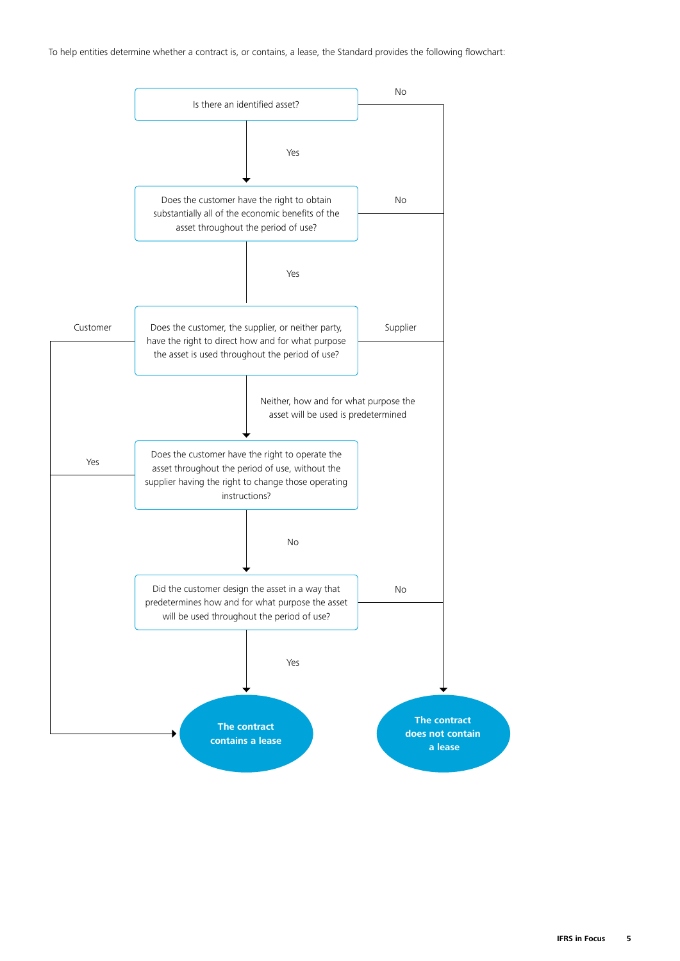To help entities determine whether a contract is, or contains, a lease, the Standard provides the following flowchart:

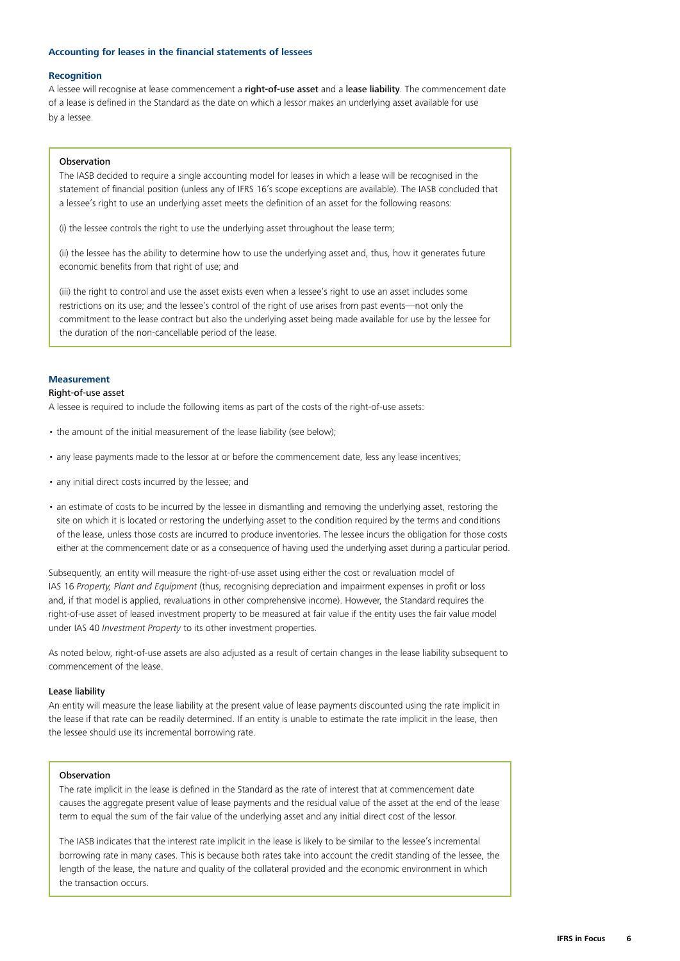# <span id="page-5-0"></span>**Accounting for leases in the financial statements of lessees**

#### **Recognition**

A lessee will recognise at lease commencement a right-of-use asset and a lease liability. The commencement date of a lease is defined in the Standard as the date on which a lessor makes an underlying asset available for use by a lessee.

#### Observation

The IASB decided to require a single accounting model for leases in which a lease will be recognised in the statement of financial position (unless any of IFRS 16's scope exceptions are available). The IASB concluded that a lessee's right to use an underlying asset meets the definition of an asset for the following reasons:

(i) the lessee controls the right to use the underlying asset throughout the lease term;

(ii) the lessee has the ability to determine how to use the underlying asset and, thus, how it generates future economic benefits from that right of use; and

(iii) the right to control and use the asset exists even when a lessee's right to use an asset includes some restrictions on its use; and the lessee's control of the right of use arises from past events—not only the commitment to the lease contract but also the underlying asset being made available for use by the lessee for the duration of the non-cancellable period of the lease.

# **Measurement**

#### Right‑of‑use asset

A lessee is required to include the following items as part of the costs of the right-of-use assets:

- the amount of the initial measurement of the lease liability (see below);
- any lease payments made to the lessor at or before the commencement date, less any lease incentives;
- any initial direct costs incurred by the lessee; and
- an estimate of costs to be incurred by the lessee in dismantling and removing the underlying asset, restoring the site on which it is located or restoring the underlying asset to the condition required by the terms and conditions of the lease, unless those costs are incurred to produce inventories. The lessee incurs the obligation for those costs either at the commencement date or as a consequence of having used the underlying asset during a particular period.

Subsequently, an entity will measure the right-of-use asset using either the cost or revaluation model of IAS 16 *Property, Plant and Equipment* (thus, recognising depreciation and impairment expenses in profit or loss and, if that model is applied, revaluations in other comprehensive income). However, the Standard requires the right-of-use asset of leased investment property to be measured at fair value if the entity uses the fair value model under IAS 40 *Investment Property* to its other investment properties.

As noted below, right-of-use assets are also adjusted as a result of certain changes in the lease liability subsequent to commencement of the lease.

#### Lease liability

An entity will measure the lease liability at the present value of lease payments discounted using the rate implicit in the lease if that rate can be readily determined. If an entity is unable to estimate the rate implicit in the lease, then the lessee should use its incremental borrowing rate.

#### Observation

The rate implicit in the lease is defined in the Standard as the rate of interest that at commencement date causes the aggregate present value of lease payments and the residual value of the asset at the end of the lease term to equal the sum of the fair value of the underlying asset and any initial direct cost of the lessor.

The IASB indicates that the interest rate implicit in the lease is likely to be similar to the lessee's incremental borrowing rate in many cases. This is because both rates take into account the credit standing of the lessee, the length of the lease, the nature and quality of the collateral provided and the economic environment in which the transaction occurs.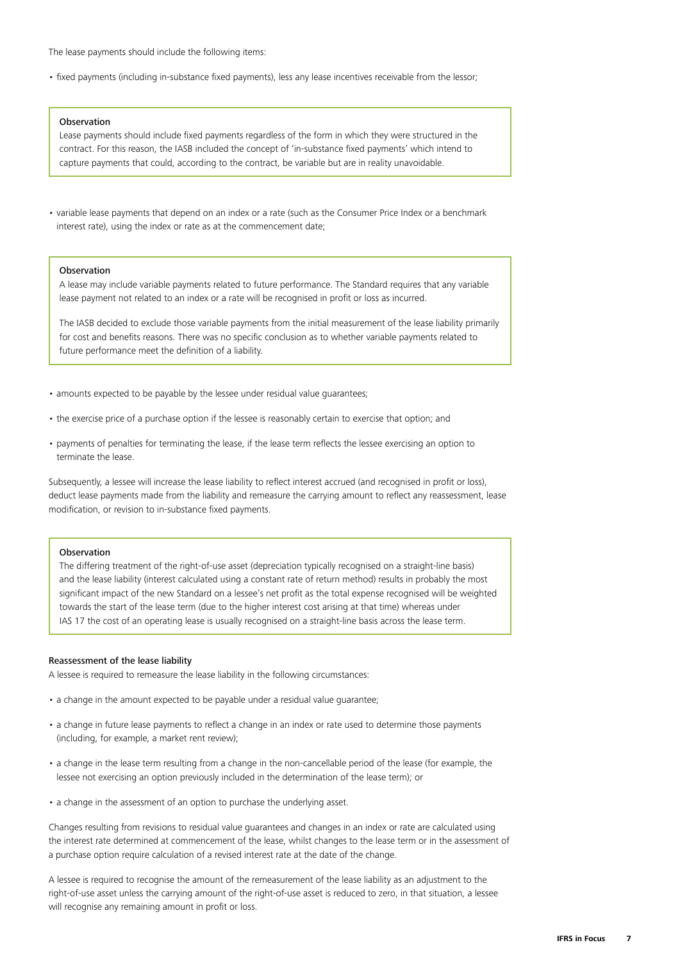The lease payments should include the following items:

• fixed payments (including in-substance fixed payments), less any lease incentives receivable from the lessor;

#### Observation

Lease payments should include fixed payments regardless of the form in which they were structured in the contract. For this reason, the IASB included the concept of 'in-substance fixed payments' which intend to capture payments that could, according to the contract, be variable but are in reality unavoidable.

• variable lease payments that depend on an index or a rate (such as the Consumer Price Index or a benchmark interest rate), using the index or rate as at the commencement date;

# Observation

A lease may include variable payments related to future performance. The Standard requires that any variable lease payment not related to an index or a rate will be recognised in profit or loss as incurred.

The IASB decided to exclude those variable payments from the initial measurement of the lease liability primarily for cost and benefits reasons. There was no specific conclusion as to whether variable payments related to future performance meet the definition of a liability.

- amounts expected to be payable by the lessee under residual value guarantees;
- the exercise price of a purchase option if the lessee is reasonably certain to exercise that option; and
- payments of penalties for terminating the lease, if the lease term reflects the lessee exercising an option to terminate the lease.

Subsequently, a lessee will increase the lease liability to reflect interest accrued (and recognised in profit or loss), deduct lease payments made from the liability and remeasure the carrying amount to reflect any reassessment, lease modification, or revision to in-substance fixed payments.

# Observation

The differing treatment of the right-of-use asset (depreciation typically recognised on a straight-line basis) and the lease liability (interest calculated using a constant rate of return method) results in probably the most significant impact of the new Standard on a lessee's net profit as the total expense recognised will be weighted towards the start of the lease term (due to the higher interest cost arising at that time) whereas under IAS 17 the cost of an operating lease is usually recognised on a straight-line basis across the lease term.

#### Reassessment of the lease liability

A lessee is required to remeasure the lease liability in the following circumstances:

- a change in the amount expected to be payable under a residual value guarantee;
- a change in future lease payments to reflect a change in an index or rate used to determine those payments (including, for example, a market rent review);
- a change in the lease term resulting from a change in the non-cancellable period of the lease (for example, the lessee not exercising an option previously included in the determination of the lease term); or
- a change in the assessment of an option to purchase the underlying asset.

Changes resulting from revisions to residual value guarantees and changes in an index or rate are calculated using the interest rate determined at commencement of the lease, whilst changes to the lease term or in the assessment of a purchase option require calculation of a revised interest rate at the date of the change.

A lessee is required to recognise the amount of the remeasurement of the lease liability as an adjustment to the right-of-use asset unless the carrying amount of the right-of-use asset is reduced to zero, in that situation, a lessee will recognise any remaining amount in profit or loss.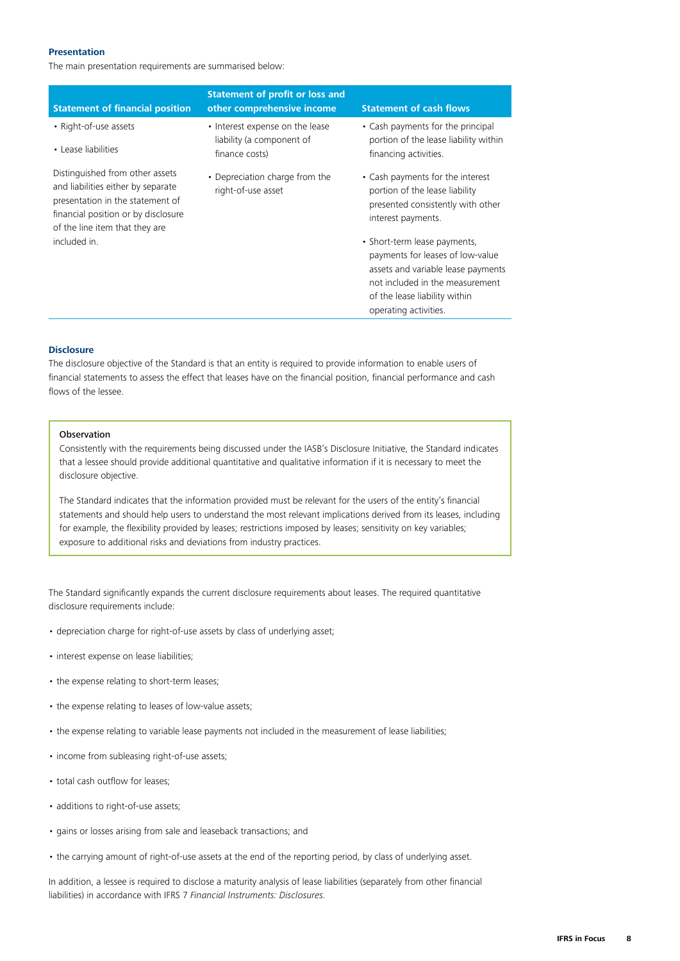### **Presentation**

The main presentation requirements are summarised below:

| <b>Statement of financial position</b>                                                                                                                                             | <b>Statement of profit or loss and</b><br>other comprehensive income           | <b>Statement of cash flows</b>                                                                                                                                                                      |
|------------------------------------------------------------------------------------------------------------------------------------------------------------------------------------|--------------------------------------------------------------------------------|-----------------------------------------------------------------------------------------------------------------------------------------------------------------------------------------------------|
| • Right-of-use assets<br>• Lease liabilities                                                                                                                                       | • Interest expense on the lease<br>liability (a component of<br>finance costs) | • Cash payments for the principal<br>portion of the lease liability within<br>financing activities.                                                                                                 |
| Distinguished from other assets<br>and liabilities either by separate<br>presentation in the statement of<br>financial position or by disclosure<br>of the line item that they are | • Depreciation charge from the<br>right-of-use asset                           | • Cash payments for the interest<br>portion of the lease liability<br>presented consistently with other<br>interest payments.                                                                       |
| included in.                                                                                                                                                                       |                                                                                | • Short-term lease payments,<br>payments for leases of low-value<br>assets and variable lease payments<br>not included in the measurement<br>of the lease liability within<br>operating activities. |

#### **Disclosure**

The disclosure objective of the Standard is that an entity is required to provide information to enable users of financial statements to assess the effect that leases have on the financial position, financial performance and cash flows of the lessee.

#### **Observation**

Consistently with the requirements being discussed under the IASB's Disclosure Initiative, the Standard indicates that a lessee should provide additional quantitative and qualitative information if it is necessary to meet the disclosure objective.

The Standard indicates that the information provided must be relevant for the users of the entity's financial statements and should help users to understand the most relevant implications derived from its leases, including for example, the flexibility provided by leases; restrictions imposed by leases; sensitivity on key variables; exposure to additional risks and deviations from industry practices.

The Standard significantly expands the current disclosure requirements about leases. The required quantitative disclosure requirements include:

- depreciation charge for right-of-use assets by class of underlying asset;
- interest expense on lease liabilities;
- the expense relating to short-term leases;
- the expense relating to leases of low-value assets;
- the expense relating to variable lease payments not included in the measurement of lease liabilities;
- income from subleasing right-of-use assets;
- total cash outflow for leases;
- additions to right-of-use assets;
- gains or losses arising from sale and leaseback transactions; and
- the carrying amount of right-of-use assets at the end of the reporting period, by class of underlying asset.

In addition, a lessee is required to disclose a maturity analysis of lease liabilities (separately from other financial liabilities) in accordance with IFRS 7 *Financial Instruments: Disclosures.*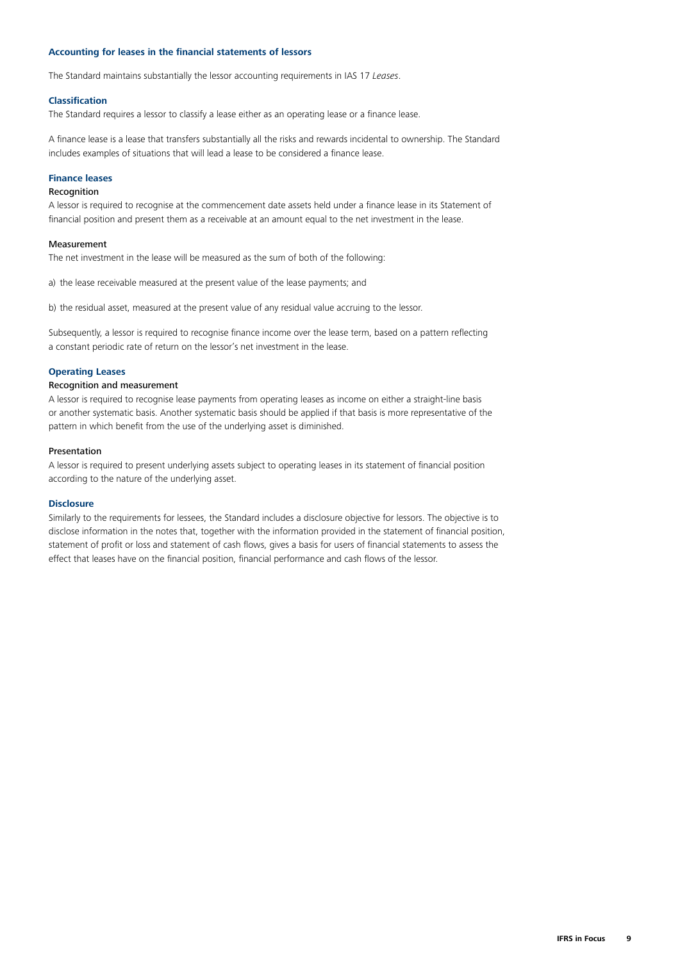# <span id="page-8-0"></span>**Accounting for leases in the financial statements of lessors**

The Standard maintains substantially the lessor accounting requirements in IAS 17 *Leases*.

# **Classification**

The Standard requires a lessor to classify a lease either as an operating lease or a finance lease.

A finance lease is a lease that transfers substantially all the risks and rewards incidental to ownership. The Standard includes examples of situations that will lead a lease to be considered a finance lease.

#### **Finance leases**

# Recognition

A lessor is required to recognise at the commencement date assets held under a finance lease in its Statement of financial position and present them as a receivable at an amount equal to the net investment in the lease.

# Measurement

The net investment in the lease will be measured as the sum of both of the following:

a) the lease receivable measured at the present value of the lease payments; and

b) the residual asset, measured at the present value of any residual value accruing to the lessor.

Subsequently, a lessor is required to recognise finance income over the lease term, based on a pattern reflecting a constant periodic rate of return on the lessor's net investment in the lease.

# **Operating Leases**

## Recognition and measurement

A lessor is required to recognise lease payments from operating leases as income on either a straight-line basis or another systematic basis. Another systematic basis should be applied if that basis is more representative of the pattern in which benefit from the use of the underlying asset is diminished.

#### Presentation

A lessor is required to present underlying assets subject to operating leases in its statement of financial position according to the nature of the underlying asset.

#### **Disclosure**

Similarly to the requirements for lessees, the Standard includes a disclosure objective for lessors. The objective is to disclose information in the notes that, together with the information provided in the statement of financial position, statement of profit or loss and statement of cash flows, gives a basis for users of financial statements to assess the effect that leases have on the financial position, financial performance and cash flows of the lessor.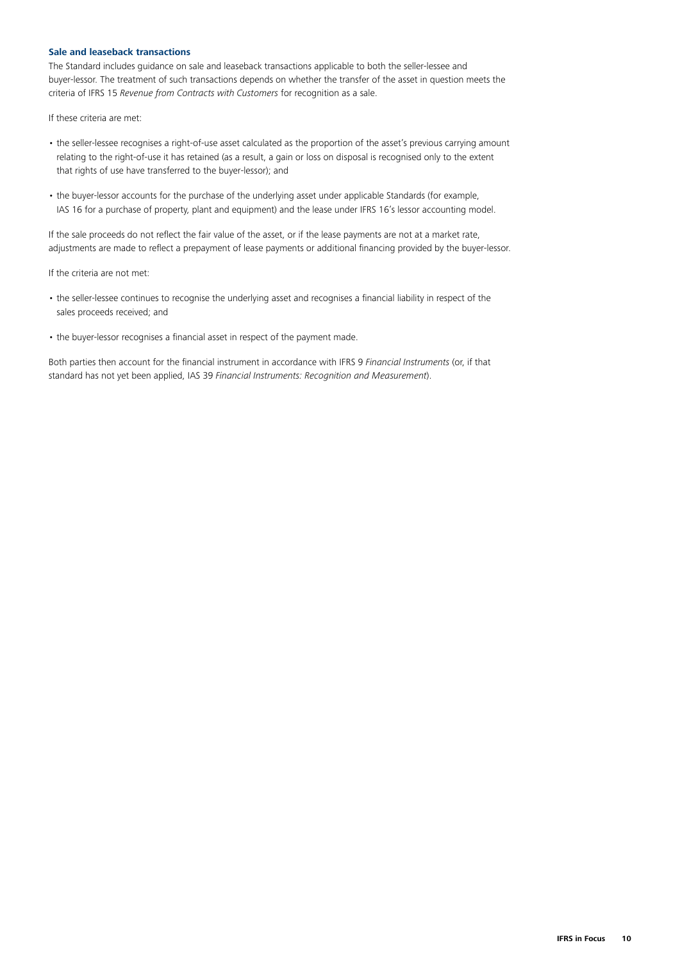# <span id="page-9-0"></span>**Sale and leaseback transactions**

The Standard includes guidance on sale and leaseback transactions applicable to both the seller-lessee and buyer-lessor. The treatment of such transactions depends on whether the transfer of the asset in question meets the criteria of IFRS 15 *Revenue from Contracts with Customers* for recognition as a sale.

If these criteria are met:

- the seller-lessee recognises a right-of-use asset calculated as the proportion of the asset's previous carrying amount relating to the right-of-use it has retained (as a result, a gain or loss on disposal is recognised only to the extent that rights of use have transferred to the buyer-lessor); and
- the buyer-lessor accounts for the purchase of the underlying asset under applicable Standards (for example, IAS 16 for a purchase of property, plant and equipment) and the lease under IFRS 16's lessor accounting model.

If the sale proceeds do not reflect the fair value of the asset, or if the lease payments are not at a market rate, adjustments are made to reflect a prepayment of lease payments or additional financing provided by the buyer-lessor.

If the criteria are not met:

- the seller-lessee continues to recognise the underlying asset and recognises a financial liability in respect of the sales proceeds received; and
- the buyer-lessor recognises a financial asset in respect of the payment made.

Both parties then account for the financial instrument in accordance with IFRS 9 *Financial Instruments* (or, if that standard has not yet been applied, IAS 39 *Financial Instruments: Recognition and Measurement*).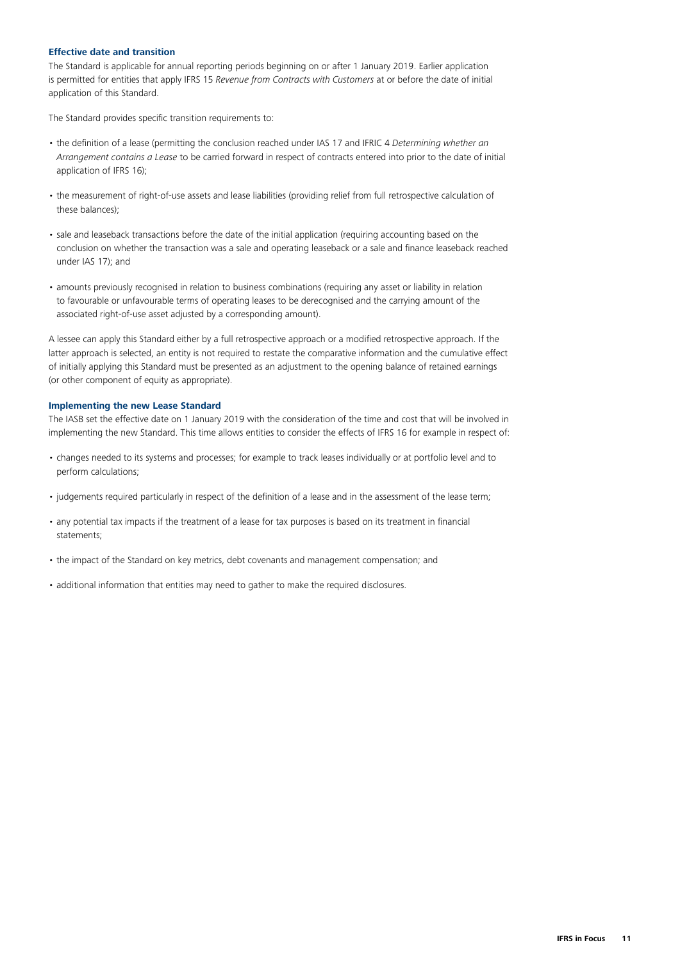# <span id="page-10-0"></span>**Effective date and transition**

The Standard is applicable for annual reporting periods beginning on or after 1 January 2019. Earlier application is permitted for entities that apply IFRS 15 *Revenue from Contracts with Customers* at or before the date of initial application of this Standard.

The Standard provides specific transition requirements to:

- the definition of a lease (permitting the conclusion reached under IAS 17 and IFRIC 4 *Determining whether an Arrangement contains a Lease* to be carried forward in respect of contracts entered into prior to the date of initial application of IFRS 16);
- the measurement of right-of-use assets and lease liabilities (providing relief from full retrospective calculation of these balances);
- sale and leaseback transactions before the date of the initial application (requiring accounting based on the conclusion on whether the transaction was a sale and operating leaseback or a sale and finance leaseback reached under IAS 17); and
- amounts previously recognised in relation to business combinations (requiring any asset or liability in relation to favourable or unfavourable terms of operating leases to be derecognised and the carrying amount of the associated right-of-use asset adjusted by a corresponding amount).

A lessee can apply this Standard either by a full retrospective approach or a modified retrospective approach. If the latter approach is selected, an entity is not required to restate the comparative information and the cumulative effect of initially applying this Standard must be presented as an adjustment to the opening balance of retained earnings (or other component of equity as appropriate).

### <span id="page-10-1"></span>**Implementing the new Lease Standard**

The IASB set the effective date on 1 January 2019 with the consideration of the time and cost that will be involved in implementing the new Standard. This time allows entities to consider the effects of IFRS 16 for example in respect of:

- changes needed to its systems and processes; for example to track leases individually or at portfolio level and to perform calculations;
- judgements required particularly in respect of the definition of a lease and in the assessment of the lease term;
- any potential tax impacts if the treatment of a lease for tax purposes is based on its treatment in financial statements;
- the impact of the Standard on key metrics, debt covenants and management compensation; and
- additional information that entities may need to gather to make the required disclosures.